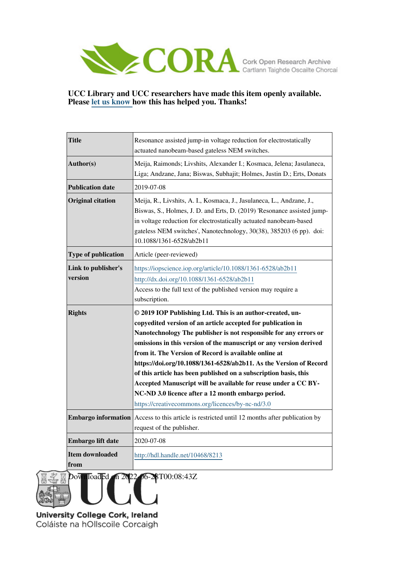

# **UCC Library and UCC researchers have made this item openly available. Please [let us know h](https://libguides.ucc.ie/openaccess/impact?suffix=8213&title=Resonance assisted jump-in voltage reduction for electrostatically actuated nanobeam-based gateless NEM switches.)ow this has helped you. Thanks!**

| <b>Title</b>                   | Resonance assisted jump-in voltage reduction for electrostatically<br>actuated nanobeam-based gateless NEM switches.                                                                                                                                                                                                                                                                                                                                                                                                    |
|--------------------------------|-------------------------------------------------------------------------------------------------------------------------------------------------------------------------------------------------------------------------------------------------------------------------------------------------------------------------------------------------------------------------------------------------------------------------------------------------------------------------------------------------------------------------|
| Author(s)                      | Meija, Raimonds; Livshits, Alexander I.; Kosmaca, Jelena; Jasulaneca,<br>Liga; Andzane, Jana; Biswas, Subhajit; Holmes, Justin D.; Erts, Donats                                                                                                                                                                                                                                                                                                                                                                         |
| <b>Publication date</b>        | 2019-07-08                                                                                                                                                                                                                                                                                                                                                                                                                                                                                                              |
| <b>Original citation</b>       | Meija, R., Livshits, A. I., Kosmaca, J., Jasulaneca, L., Andzane, J.,<br>Biswas, S., Holmes, J. D. and Erts, D. (2019) 'Resonance assisted jump-<br>in voltage reduction for electrostatically actuated nanobeam-based<br>gateless NEM switches', Nanotechnology, 30(38), 385203 (6 pp). doi:<br>10.1088/1361-6528/ab2b11                                                                                                                                                                                               |
| <b>Type of publication</b>     | Article (peer-reviewed)                                                                                                                                                                                                                                                                                                                                                                                                                                                                                                 |
| Link to publisher's<br>version | https://iopscience.iop.org/article/10.1088/1361-6528/ab2b11<br>http://dx.doi.org/10.1088/1361-6528/ab2b11<br>Access to the full text of the published version may require a<br>subscription.                                                                                                                                                                                                                                                                                                                            |
| <b>Rights</b>                  | © 2019 IOP Publishing Ltd. This is an author-created, un-<br>copyedited version of an article accepted for publication in                                                                                                                                                                                                                                                                                                                                                                                               |
|                                | Nanotechnology The publisher is not responsible for any errors or<br>omissions in this version of the manuscript or any version derived<br>from it. The Version of Record is available online at<br>https://doi.org/10.1088/1361-6528/ab2b11. As the Version of Record<br>of this article has been published on a subscription basis, this<br>Accepted Manuscript will be available for reuse under a CC BY-<br>NC-ND 3.0 licence after a 12 month embargo period.<br>https://creativecommons.org/licences/by-nc-nd/3.0 |
|                                | <b>Embargo information</b> Access to this article is restricted until 12 months after publication by<br>request of the publisher.                                                                                                                                                                                                                                                                                                                                                                                       |
| Embargo lift date              | 2020-07-08                                                                                                                                                                                                                                                                                                                                                                                                                                                                                                              |

06-**2**8T00:08:43Z

University College Cork, Ireland Coláiste na hOllscoile Corcaigh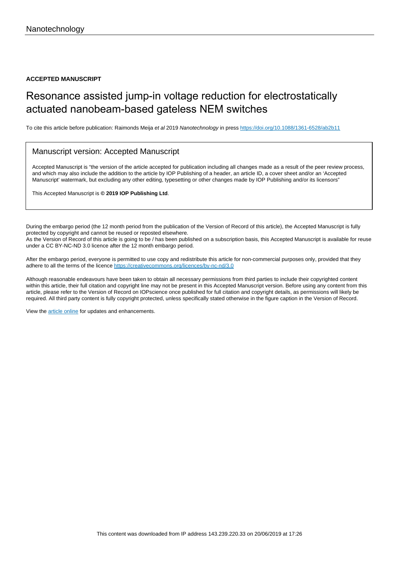#### **ACCEPTED MANUSCRIPT**

# Resonance assisted jump-in voltage reduction for electrostatically actuated nanobeam-based gateless NEM switches

To cite this article before publication: Raimonds Meija et al 2019 Nanotechnology in press <https://doi.org/10.1088/1361-6528/ab2b11>

## Manuscript version: Accepted Manuscript

Accepted Manuscript is "the version of the article accepted for publication including all changes made as a result of the peer review process, and which may also include the addition to the article by IOP Publishing of a header, an article ID, a cover sheet and/or an 'Accepted Manuscript' watermark, but excluding any other editing, typesetting or other changes made by IOP Publishing and/or its licensors"

This Accepted Manuscript is **© 2019 IOP Publishing Ltd**.

During the embargo period (the 12 month period from the publication of the Version of Record of this article), the Accepted Manuscript is fully protected by copyright and cannot be reused or reposted elsewhere. As the Version of Record of this article is going to be / has been published on a subscription basis, this Accepted Manuscript is available for reuse under a CC BY-NC-ND 3.0 licence after the 12 month embargo period.

After the embargo period, everyone is permitted to use copy and redistribute this article for non-commercial purposes only, provided that they adhere to all the terms of the licence <https://creativecommons.org/licences/by-nc-nd/3.0>

Although reasonable endeavours have been taken to obtain all necessary permissions from third parties to include their copyrighted content within this article, their full citation and copyright line may not be present in this Accepted Manuscript version. Before using any content from this article, please refer to the Version of Record on IOPscience once published for full citation and copyright details, as permissions will likely be required. All third party content is fully copyright protected, unless specifically stated otherwise in the figure caption in the Version of Record.

View the [article online](https://doi.org/10.1088/1361-6528/ab2b11) for updates and enhancements.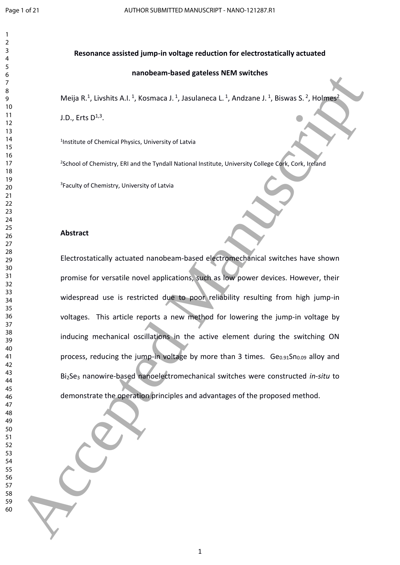# **Resonance assisted jump-in voltage reduction for electrostatically actuated**

## **nanobeam-based gateless NEM switches**

Meija R.<sup>1</sup>, Livshits A.I.<sup>1</sup>, Kosmaca J.<sup>1</sup>, Jasulaneca L.<sup>1</sup>, Andzane J.<sup>1</sup>, Biswas S.<sup>2</sup>, Holmes<sup>2</sup>

J.D., Erts  $D^{1,3}$ .

Institute of Chemical Physics, University of Latvia

<sup>2</sup>School of Chemistry, ERI and the Tyndall National Institute, University College Cork, Cork, Ireland

<sup>3</sup>Faculty of Chemistry, University of Latvia

## **Abstract**

Electrostatically actuated nanobeam-based electromechanical switches have shown promise for versatile novel applications, such as low power devices. However, their widespread use is restricted due to poor reliability resulting from high jump-in voltages. This article reports a new method for lowering the jump-in voltage by inducing mechanical oscillations in the active element during the switching ON process, reducing the jump-in voltage by more than 3 times.  $Ge<sub>0.91</sub>Sn<sub>0.09</sub>$  alloy and Bi2Se<sup>3</sup> nanowire-based nanoelectromechanical switches were constructed *in-situ* to demonstrate the operation principles and advantages of the proposed method. manoteam-bissed gatetess Nikh switches<br>
Melio R., Livelais A.1, Vissonag J.1, Japaniane L., Japaniane L., Riswas S.2, Holland<br>
10. Erts D<sup>.1</sup>,<br>
Hosticus of Chemicity Education University of Lates<br>
<sup>16</sup><br>
<sup>16</sup><br>
<sup>16</sup><br>
<sup>16</sup><br>
<sup></sup>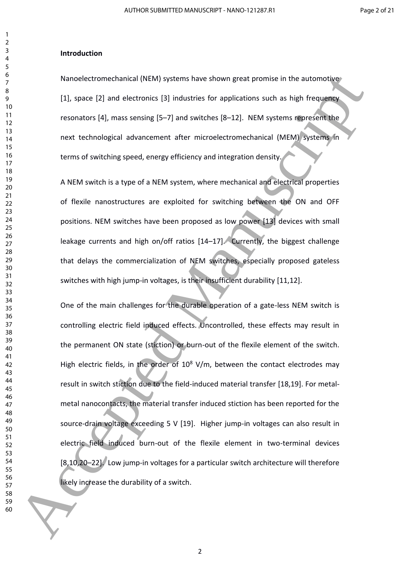#### **Introduction**

Nanoelectromechanical (NEM) systems have shown great promise in the automotive [1], space [2] and electronics [3] industries for applications such as high frequency resonators [4], mass sensing [5–7] and switches [8–12]. NEM systems represent the next technological advancement after microelectromechanical (MEM) systems in terms of switching speed, energy efficiency and integration density.

A NEM switch is a type of a NEM system, where mechanical and electrical properties of flexile nanostructures are exploited for switching between the ON and OFF positions. NEM switches have been proposed as low power [13] devices with small leakage currents and high on/off ratios [14-17]. Currently, the biggest challenge that delays the commercialization of NEM switches, especially proposed gateless switches with high jump-in voltages, is their insufficient durability [11,12].

One of the main challenges for the durable operation of a gate-less NEM switch is controlling electric field induced effects. Uncontrolled, these effects may result in the permanent ON state (stiction) or burn-out of the flexile element of the switch. High electric fields, in the order of  $10^8$  V/m, between the contact electrodes may result in switch stiction due to the field-induced material transfer [18,19]. For metalmetal nanocontacts, the material transfer induced stiction has been reported for the source-drain voltage exceeding 5 V [19]. Higher jump-in voltages can also result in electric field induced burn-out of the flexile element in two-terminal devices [8,10,20–22]. Low jump-in voltages for a particular switch architecture will therefore likely increase the durability of a switch. Nanoelectromechanical (NEM) systems have shown great promise in the automotive<br>
11. space (2) and electronics (3) industries for applications such as high frequency<br>
11. space (2) and electronics (3) industries (6-2-12). N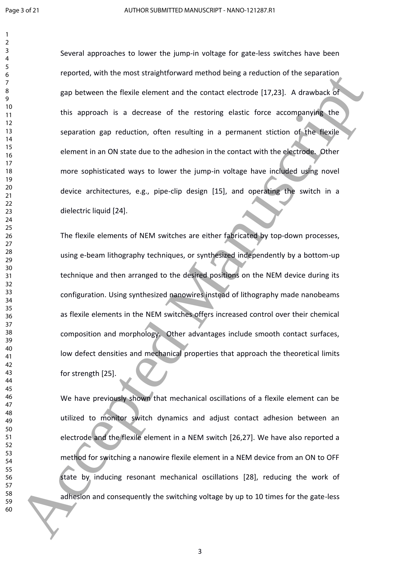Several approaches to lower the jump-in voltage for gate-less switches have been reported, with the most straightforward method being a reduction of the separation gap between the flexile element and the contact electrode [17,23]. A drawback of this approach is a decrease of the restoring elastic force accompanying the separation gap reduction, often resulting in a permanent stiction of the flexile element in an ON state due to the adhesion in the contact with the electrode. Other more sophisticated ways to lower the jump-in voltage have included using novel device architectures, e.g., pipe-clip design [15], and operating the switch in a dielectric liquid [24].

The flexile elements of NEM switches are either fabricated by top-down processes, using e-beam lithography techniques, or synthesized independently by a bottom-up technique and then arranged to the desired positions on the NEM device during its configuration. Using synthesized nanowires instead of lithography made nanobeams as flexile elements in the NEM switches offers increased control over their chemical composition and morphology. Other advantages include smooth contact surfaces, low defect densities and mechanical properties that approach the theoretical limits for strength [25]. Accepted Manuscript

We have previously shown that mechanical oscillations of a flexile element can be utilized to monitor switch dynamics and adjust contact adhesion between an electrode and the flexile element in a NEM switch [26,27]. We have also reported a method for switching a nanowire flexile element in a NEM device from an ON to OFF state by inducing resonant mechanical oscillations [28], reducing the work of adhesion and consequently the switching voltage by up to 10 times for the gate-less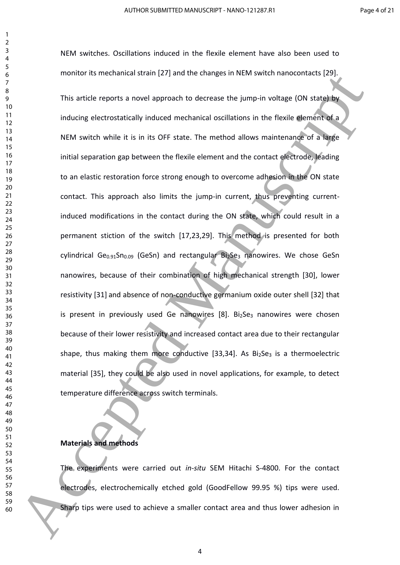NEM switches. Oscillations induced in the flexile element have also been used to monitor its mechanical strain [27] and the changes in NEM switch nanocontacts [29]. This article reports a novel approach to decrease the jump-in voltage (ON state) by inducing electrostatically induced mechanical oscillations in the flexile element of a NEM switch while it is in its OFF state. The method allows maintenance of a large initial separation gap between the flexile element and the contact electrode, leading to an elastic restoration force strong enough to overcome adhesion in the ON state contact. This approach also limits the jump-in current, thus preventing currentinduced modifications in the contact during the ON state, which could result in a permanent stiction of the switch [17,23,29]. This method is presented for both  $cylindrical Ge<sub>0.91</sub>Sn<sub>0.09</sub>$  (GeSn) and rectangular  $Bi<sub>2</sub>Se<sub>3</sub>$  nanowires. We chose GeSn nanowires, because of their combination of high mechanical strength [30], lower resistivity [31] and absence of non-conductive germanium oxide outer shell [32] that is present in previously used Ge nanowires [8]. Bi<sub>2</sub>Se<sub>3</sub> nanowires were chosen because of their lower resistivity and increased contact area due to their rectangular shape, thus making them more conductive [33,34]. As  $Bi<sub>2</sub>Se<sub>3</sub>$  is a thermoelectric material [35], they could be also used in novel applications, for example, to detect temperature difference across switch terminals. monitor is mechanical stant [27] and the disnings in this south changes in the south can<br>be a This article reports a novel approach to decrease the jump in voltage (ON state)<br>the manuscript of the manuscript in the case of

## **Materials and methods**

The experiments were carried out *in-situ* SEM Hitachi S-4800. For the contact electrodes, electrochemically etched gold (GoodFellow 99.95 %) tips were used. Sharp tips were used to achieve a smaller contact area and thus lower adhesion in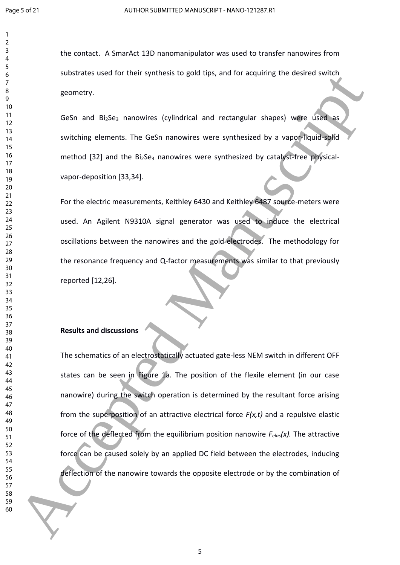the contact. A SmarAct 13D nanomanipulator was used to transfer nanowires from substrates used for their synthesis to gold tips, and for acquiring the desired switch geometry.

GeSn and Bi<sub>2</sub>Se<sub>3</sub> nanowires (cylindrical and rectangular shapes) were used as switching elements. The GeSn nanowires were synthesized by a vapor-liquid-solid method [32] and the  $Bi<sub>2</sub>Se<sub>3</sub>$  nanowires were synthesized by catalyst-free physicalvapor-deposition [33,34].

For the electric measurements, Keithley 6430 and Keithley 6487 source-meters were used. An Agilent N9310A signal generator was used to induce the electrical oscillations between the nanowires and the gold electrodes. The methodology for the resonance frequency and Q-factor measurements was similar to that previously reported [12,26].

#### **Results and discussions**

The schematics of an electrostatically actuated gate-less NEM switch in different OFF states can be seen in Figure 1a. The position of the flexile element (in our case nanowire) during the switch operation is determined by the resultant force arising from the superposition of an attractive electrical force *F(x,t)* and a repulsive elastic force of the deflected from the equilibrium position nanowire *Felas(x).* The attractive force can be caused solely by an applied DC field between the electrodes, inducing deflection of the nanowire towards the opposite electrode or by the combination of stocking is used in their synthesis to good tips, and to acquiring the desired switch<br>
10 B and Biggs, nanowires (sylindrical and rectangular shapes) wife size and<br>
11 M contribution elements. The GeSn nanowires were synth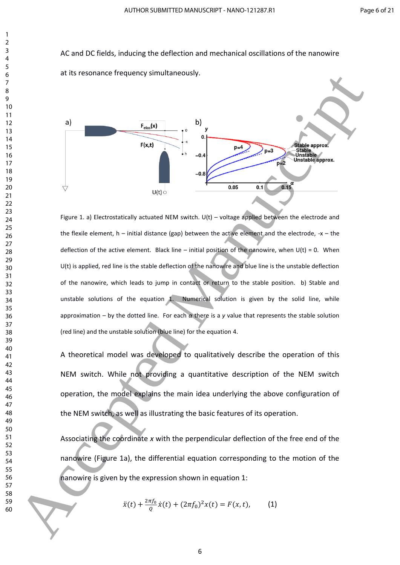AC and DC fields, inducing the deflection and mechanical oscillations of the nanowire at its resonance frequency simultaneously.



Figure 1. a) Electrostatically actuated NEM switch. U(t) – voltage applied between the electrode and the flexile element,  $h$  – initial distance (gap) between the active element and the electrode,  $-x$  – the deflection of the active element. Black line – initial position of the nanowire, when  $U(t) = 0$ . When U(t) is applied, red line is the stable deflection of the nanowire and blue line is the unstable deflection of the nanowire, which leads to jump in contact or return to the stable position. b) Stable and unstable solutions of the equation . Numerical solution is given by the solid line, while approximation – by the dotted line. For each *α* there is a *y* value that represents the stable solution (red line) and the unstable solution (blue line) for the equation 4.

A theoretical model was developed to qualitatively describe the operation of this NEM switch. While not providing a quantitative description of the NEM switch operation, the model explains the main idea underlying the above configuration of the NEM switch, as well as illustrating the basic features of its operation.

Associating the coordinate *x* with the perpendicular deflection of the free end of the nanowire (Figure 1a), the differential equation corresponding to the motion of the nanowire is given by the expression shown in equation 1:

$$
\ddot{x}(t) + \frac{2\pi f_0}{Q}\dot{x}(t) + (2\pi f_0)^2 x(t) = F(x, t), \quad (1)
$$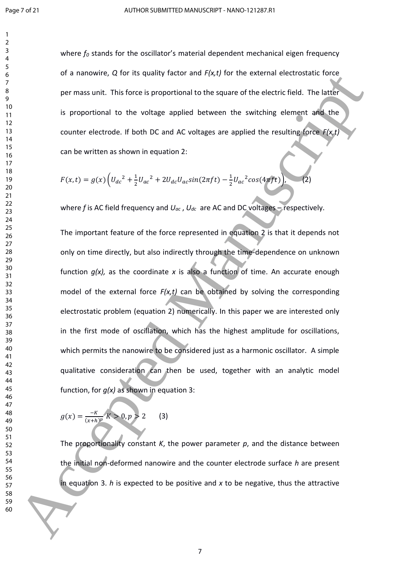where  $f_0$  stands for the oscillator's material dependent mechanical eigen frequency of a nanowire, *Q* for its quality factor and *F(x,t)* for the external electrostatic force per mass unit. This force is proportional to the square of the electric field. The latter is proportional to the voltage applied between the switching element and the counter electrode. If both DC and AC voltages are applied the resulting force *F(x,t)* can be written as shown in equation 2:

$$
F(x,t) = g(x) \left( U_{dc}^2 + \frac{1}{2} U_{ac}^2 + 2U_{dc} U_{ac} sin(2\pi ft) - \frac{1}{2} U_{ac}^2 cos(4\pi ft) \right), \quad (2)
$$

where *f* is AC field frequency and *Uac* , *Udc* are AC and DC voltages – respectively.

The important feature of the force represented in equation 2 is that it depends not only on time directly, but also indirectly through the time-dependence on unknown function *g(x),* as the coordinate *x* is also a function of time. An accurate enough model of the external force *F(x,t)* can be obtained by solving the corresponding electrostatic problem (equation 2) numerically. In this paper we are interested only in the first mode of oscillation, which has the highest amplitude for oscillations, which permits the nanowire to be considered just as a harmonic oscillator. A simple qualitative consideration can then be used, together with an analytic model function, for *g(x)* as shown in equation 3: 61 a nanowine, Q tor its quality include and  $V_1c_1f$  (or the external electrosistic force<br>
per mass with Ellis forces is proportional to the square of the electroched. The latter<br>
16 By the contract electrode, it both D

$$
g(x) = \frac{-K}{(x+h)^p} K > 0, p > 2
$$
 (3)

The proportionality constant *K*, the power parameter *p*, and the distance between the initial non-deformed nanowire and the counter electrode surface *h* are present in equation 3. *h* is expected to be positive and *x* to be negative, thus the attractive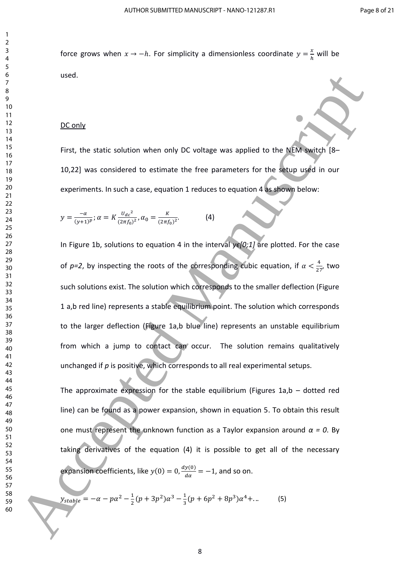force grows when  $x \to -h$ . For simplicity a dimensionless coordinate  $y = \frac{x}{h}$  $\frac{x}{h}$  will be used.

#### DC only

First, the static solution when only DC voltage was applied to the NEM switch [8– 10,22] was considered to estimate the free parameters for the setup used in our experiments. In such a case, equation 1 reduces to equation 4 as shown below:

$$
y = \frac{-\alpha}{(y+1)^p}; \alpha = K \frac{U_{dc}^2}{(2\pi f_0)^2}, \alpha_0 = \frac{K}{(2\pi f_0)^2}.
$$
 (4)

In Figure 1b, solutions to equation 4 in the interval *yϵ[0;1]* are plotted. For the case of  $p=2$ , by inspecting the roots of the corresponding cubic equation, if  $\alpha < \frac{4}{2}$  $rac{4}{27}$ , two such solutions exist. The solution which corresponds to the smaller deflection (Figure 1 a,b red line) represents a stable equilibrium point. The solution which corresponds to the larger deflection (Figure 1a,b blue line) represents an unstable equilibrium from which a jump to contact can occur. The solution remains qualitatively unchanged if *p* is positive, which corresponds to all real experimental setups. used.<br>
19 B<br>
19 B<br>
19 B<br>
19 B<br>
19 B<br>
19 B<br>
19 B<br>
19 B<br>
19 B<br>
19 B<br>
19 B<br>
19 B<br>
19 B<br>
19 B<br>
19 B<br>
19 B<br>
19 B<br>
19 B<br>
19 C<br>
19 C<br>
19 C<br>
19 C<br>
19 C<br>
19 C<br>
19 C<br>
19 C<br>
19 C<br>
19 C<br>
19 C<br>
19 C<br>
19 C<br>
19 C<br>
19 C<br>
19 C<br>
19 C<br>
19 C

The approximate expression for the stable equilibrium (Figures 1a,b  $-$  dotted red line) can be found as a power expansion, shown in equation 5. To obtain this result one must represent the unknown function as a Taylor expansion around  $\alpha = 0$ . By taking derivatives of the equation (4) it is possible to get all of the necessary expansion coefficients, like  $y(0) = 0, \frac{dy(0)}{dx}$  $\frac{y(0)}{d\alpha}$  = -1, and so on.

$$
y_{stable} = -\alpha - p\alpha^2 - \frac{1}{2}(p + 3p^2)\alpha^3 - \frac{1}{3}(p + 6p^2 + 8p^3)\alpha^4 + \dots
$$
 (5)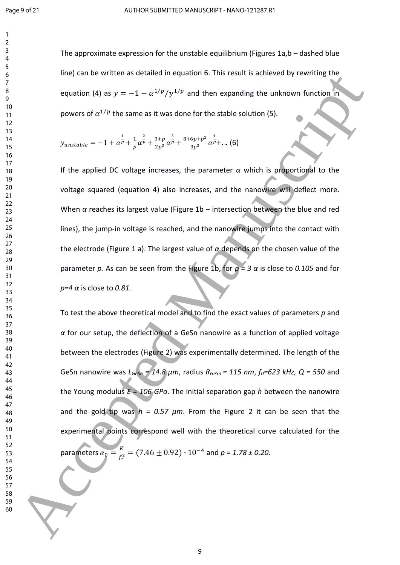The approximate expression for the unstable equilibrium (Figures 1a,b – dashed blue line) can be written as detailed in equation 6. This result is achieved by rewriting the equation (4) as  $y = -1 - \alpha^{1/p}/y^{1/p}$  and then expanding the unknown function in powers of  $\alpha^{1/p}$  the same as it was done for the stable solution (5).

$$
y_{unstable} = -1 + \alpha^{\frac{1}{p}} + \frac{1}{p} \alpha^{\frac{2}{p}} + \frac{3+p}{2p^2} \alpha^{\frac{3}{p}} + \frac{8+6p+p^2}{3p^3} \alpha^{\frac{4}{p}} + \dots (6)
$$

If the applied DC voltage increases, the parameter  $\alpha$  which is proportional to the voltage squared (equation 4) also increases, and the nanowire will deflect more. When *α* reaches its largest value (Figure 1b – intersection between the blue and red lines), the jump-in voltage is reached, and the nanowire jumps into the contact with the electrode (Figure 1 a). The largest value of *α* depends on the chosen value of the parameter *p.* As can be seen from the Figure 1b, for *p = 3 α* is close to *0.105* and for *p=4 α* is close to *0.81.*

To test the above theoretical model and to find the exact values of parameters *p* and *α* for our setup, the deflection of a GeSn nanowire as a function of applied voltage between the electrodes (Figure 2) was experimentally determined. The length of the GeSn nanowire was *LGeSn = 14.8 μm*, radius *RGeSn = 115 nm*, *f0=623 kHz, Q = 550* and the Young modulus *E = 106 GPa*. The initial separation gap *h* between the nanowire and the gold tip was  $h = 0.57 \mu m$ . From the Figure 2 it can be seen that the experimental points correspond well with the theoretical curve calculated for the parameters  $\alpha_0 = \frac{K}{f^2}$  $\frac{R}{f_r^2}$  = (7.46  $\pm$  0.92)  $\cdot$  10<sup>-4</sup> and *p* = 1.78  $\pm$  0.20. Accepted Manuscript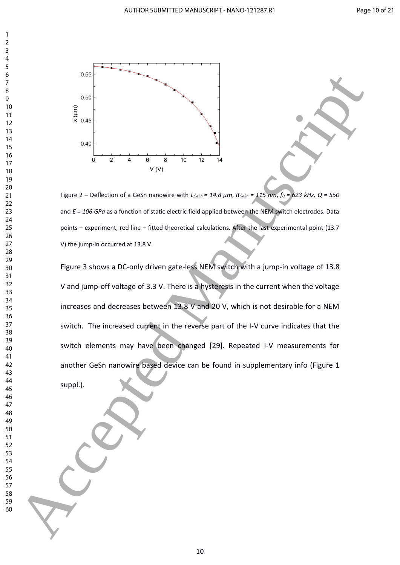

Figure 2 – Deflection of a GeSn nanowire with *LGeSn = 14.8 μm*, *RGeSn = 115 nm*, *f<sup>0</sup> = 623 kHz, Q = 550* and *E = 106 GPa* as a function of static electric field applied between the NEM switch electrodes. Data points – experiment, red line – fitted theoretical calculations. After the last experimental point (13.7 V) the jump-in occurred at 13.8 V.

Figure 3 shows a DC-only driven gate-less NEM switch with a jump-in voltage of 13.8 V and jump-off voltage of 3.3 V. There is a hysteresis in the current when the voltage increases and decreases between 13.8 V and 20 V, which is not desirable for a NEM switch. The increased current in the reverse part of the I-V curve indicates that the switch elements may have been changed [29]. Repeated I-V measurements for another GeSn nanowire based device can be found in supplementary info (Figure 1 suppl.). 60 Accepted Manuscript (Section Accepted Manuscript)<br>  $\frac{1}{2}$ <br>  $\frac{1}{2}$ <br>  $\frac{1}{2}$ <br>  $\frac{1}{2}$ <br>  $\frac{1}{2}$ <br>  $\frac{1}{2}$ <br>  $\frac{1}{2}$ <br>  $\frac{1}{2}$ <br>  $\frac{1}{2}$ <br>  $\frac{1}{2}$ <br>  $\frac{1}{2}$ <br>  $\frac{1}{2}$ <br>  $\frac{1}{2}$ <br>  $\frac{1}{2}$ <br>  $\frac{1}{2}$ <br>  $\$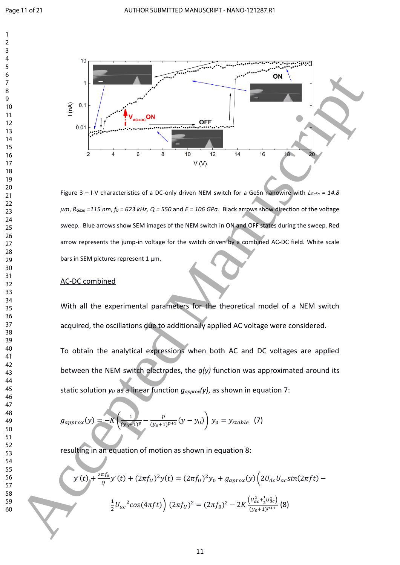

Figure 3 – I-V characteristics of a DC-only driven NEM switch for a GeSn nanowire with *LGeSn = 14.8 μm*, *RGeSn =115 nm*, *f<sup>0</sup> = 623 kHz, Q = 550* and *E = 106 GPa.* Black arrows show direction of the voltage sweep. Blue arrows show SEM images of the NEM switch in ON and OFF states during the sweep. Red arrow represents the jump-in voltage for the switch driven by a combined AC-DC field. White scale bars in SEM pictures represent 1 μm.

## AC-DC combined

With all the experimental parameters for the theoretical model of a NEM switch acquired, the oscillations due to additionally applied AC voltage were considered.

To obtain the analytical expressions when both AC and DC voltages are applied between the NEM switch electrodes, the *g(y)* function was approximated around its static solution *y<sup>0</sup>* as a linear function *gapprox(y)*, as shown in equation 7:

$$
g_{approx}(y) = -K\left(\frac{1}{(y_0+1)^p} - \frac{p}{(y_0+1)^{p+1}}(y-y_0)\right) y_0 = y_{stable}
$$
 (7)

resulting in an equation of motion as shown in equation 8:

$$
y''(t) + \frac{2\pi f_0}{Q} y'(t) + (2\pi f_U)^2 y(t) = (2\pi f_U)^2 y_0 + g_{\alpha prox}(y) \left( 2U_{dc} U_{ac} \sin(2\pi ft) - \frac{1}{2} U_{ac}^2 \cos(4\pi ft) \right) (2\pi f_U)^2 = (2\pi f_0)^2 - 2K \frac{(U_{ac}^2 + \frac{1}{2} U_{ac}^2)}{(y_0 + 1)^{p+1}} (8)
$$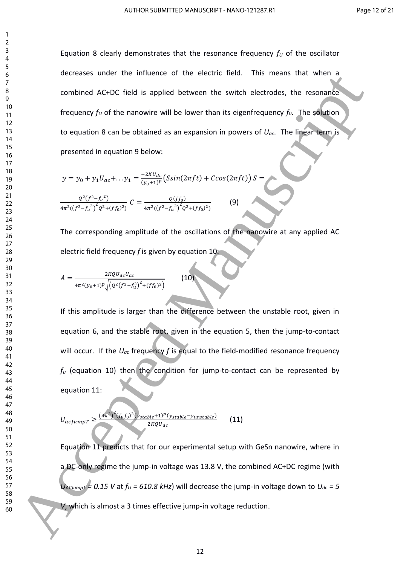Equation 8 clearly demonstrates that the resonance frequency  $f_U$  of the oscillator decreases under the influence of the electric field. This means that when a combined AC+DC field is applied between the switch electrodes, the resonance frequency *f<sup>U</sup>* of the nanowire will be lower than its eigenfrequency *f0*. The solution to equation 8 can be obtained as an expansion in powers of *Uac*. The linear term is presented in equation 9 below:

$$
y = y_0 + y_1 U_{ac} + \dots y_1 = \frac{-2KU_{dc}}{(y_0 + 1)^p} \left( S\sin(2\pi ft) + C\cos(2\pi ft) \right) S =
$$
  

$$
\frac{Q^2 (f^2 - f_u^2)}{4\pi^2 ((f^2 - f_u^2)^2 Q^2 + (f f_0)^2)} C = \frac{Q(f_0)}{4\pi^2 ((f^2 - f_u^2)^2 Q^2 + (f f_0)^2)}
$$
(9)

The corresponding amplitude of the oscillations of the nanowire at any applied AC electric field frequency *f* is given by equation 10:

$$
A = \frac{2KQU_{dc}U_{ac}}{4\pi^2(y_0+1)^p \sqrt{\left(Q^2\left(f^2 - f_u^2\right)^2 + (ff_0)^2\right)}}\tag{10}
$$

If this amplitude is larger than the difference between the unstable root, given in equation 6, and the stable root, given in the equation 5, then the jump-to-contact will occur. If the *Uac* frequency *f* is equal to the field-modified resonance frequency *f<sup>u</sup>* (equation 10) then the condition for jump-to-contact can be represented by equation 11: occiones sincer the inducence of the electric lied. This means that when  $\frac{2}{3}$ <br>
channels ACCO field is sopied tentered manuscription of  $U_{\alpha}$ . The spanning<br>  $V_{\alpha}$  field is a space of the intered manuscription in t

$$
U_{acjumpT} \ge \frac{(4\pi^2)^2 (f_u f_0)^2 (y_{stable} + 1)^p (y_{stable} - y_{unstable})}{2KQU_{dc}}
$$
(11)

Equation 11 predicts that for our experimental setup with GeSn nanowire, where in a DC-only regime the jump-in voltage was 13.8 V, the combined AC+DC regime (with  $U_{\text{ACLump}}$  = 0.15 V at  $f_U$  = 610.8 kHz) will decrease the jump-in voltage down to  $U_{dc}$  = 5 *V*, which is almost a 3 times effective jump-in voltage reduction.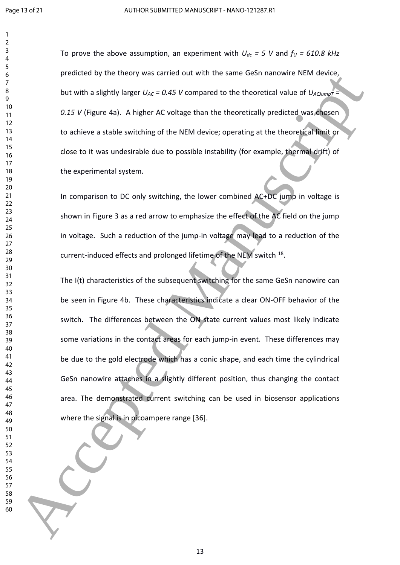To prove the above assumption, an experiment with  $U_{dc}$  = 5 V and  $f_U$  = 610.8 kHz predicted by the theory was carried out with the same GeSn nanowire NEM device, but with a slightly larger  $U_{AC}$  = 0.45 V compared to the theoretical value of  $U_{ACJum0T}$  = *0.15 V* (Figure 4a). A higher AC voltage than the theoretically predicted was chosen to achieve a stable switching of the NEM device; operating at the theoretical limit or close to it was undesirable due to possible instability (for example, thermal drift) of the experimental system.

In comparison to DC only switching, the lower combined AC+DC jump in voltage is shown in Figure 3 as a red arrow to emphasize the effect of the AC field on the jump in voltage. Such a reduction of the jump-in voltage may lead to a reduction of the current-induced effects and prolonged lifetime of the NEM switch <sup>18</sup>.

The I(t) characteristics of the subsequent switching for the same GeSn nanowire can be seen in Figure 4b. These characteristics indicate a clear ON-OFF behavior of the switch. The differences between the ON state current values most likely indicate some variations in the contact areas for each jump-in event. These differences may be due to the gold electrode which has a conic shape, and each time the cylindrical GeSn nanowire attaches in a slightly different position, thus changing the contact area. The demonstrated current switching can be used in biosensor applications where the signal is in picoampere range [36]. prendicted by the theory was carned out with the same desh randowne Wilwiteston<br>
160 Accepted Manuscript Universal (Accepted Manuscript Content of the decretization of the decretization of the NEM device is percentage that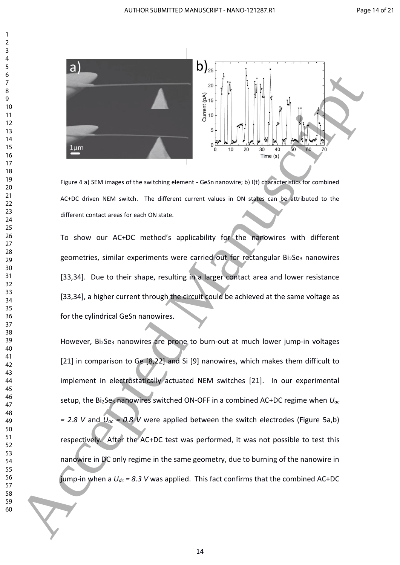

Figure 4 a) SEM images of the switching element - GeSn nanowire; b) I(t) characteristics for combined AC+DC driven NEM switch. The different current values in ON states can be attributed to the different contact areas for each ON state.

To show our AC+DC method's applicability for the nanowires with different geometries, similar experiments were carried out for rectangular  $Bi<sub>2</sub>Se<sub>3</sub>$  nanowires [33,34]. Due to their shape, resulting in a larger contact area and lower resistance [33,34], a higher current through the circuit could be achieved at the same voltage as for the cylindrical GeSn nanowires.

However, Bi<sub>2</sub>Se<sub>3</sub> nanowires are prone to burn-out at much lower jump-in voltages [21] in comparison to Ge [8,22] and Si [9] nanowires, which makes them difficult to implement in electrostatically actuated NEM switches [21]. In our experimental setup, the Bi2Se<sup>3</sup> nanowires switched ON-OFF in a combined AC+DC regime when *Uac = 2.8 V* and  $U_{ac}$  = 0.8 *V* were applied between the switch electrodes (Figure 5a,b) respectively. After the AC+DC test was performed, it was not possible to test this nanowire in DC only regime in the same geometry, due to burning of the nanowire in jump-in when a  $U_{dc}$  = 8.3 V was applied. This fact confirms that the combined AC+DC For the cylindrical definition of the centre of the state of the state of the contribute of the state of the state of the state of the state of the state of the state of the state of the state of the state of the state of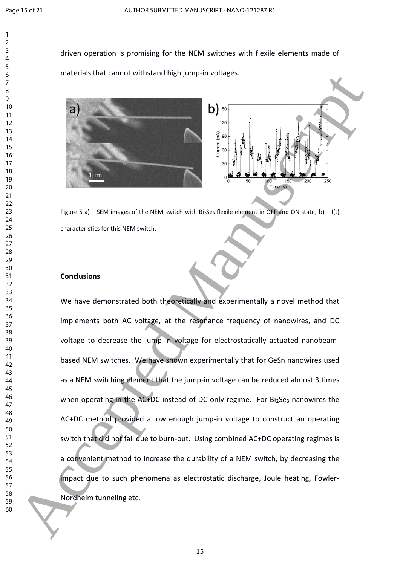driven operation is promising for the NEM switches with flexile elements made of materials that cannot withstand high jump-in voltages.





Figure 5 a) – SEM images of the NEM switch with Bi<sub>2</sub>Se<sub>3</sub> flexile element in OFF and ON state; b) – I(t) characteristics for this NEM switch.

## **Conclusions**

We have demonstrated both theoretically and experimentally a novel method that implements both AC voltage, at the resonance frequency of nanowires, and DC voltage to decrease the jump in voltage for electrostatically actuated nanobeambased NEM switches. We have shown experimentally that for GeSn nanowires used as a NEM switching element that the jump-in voltage can be reduced almost 3 times when operating in the AC+DC instead of DC-only regime. For Bi2Se3 nanowires the AC+DC method provided a low enough jump-in voltage to construct an operating switch that did not fail due to burn-out. Using combined AC+DC operating regimes is a convenient method to increase the durability of a NEM switch, by decreasing the impact due to such phenomena as electrostatic discharge, Joule heating, Fowler-Nordheim tunneling etc. materials lind cannot will be an any pump in voltage.<br>  $\frac{1}{2}$ <br>  $\frac{1}{2}$ <br>  $\frac{1}{2}$ <br>  $\frac{1}{2}$ <br>  $\frac{1}{2}$ <br>  $\frac{1}{2}$ <br>  $\frac{1}{2}$ <br>  $\frac{1}{2}$ <br>  $\frac{1}{2}$ <br>  $\frac{1}{2}$ <br>  $\frac{1}{2}$ <br>  $\frac{1}{2}$ <br>  $\frac{1}{2}$ <br>  $\frac{1}{2}$ <br>  $\frac{1}{2}$ <br>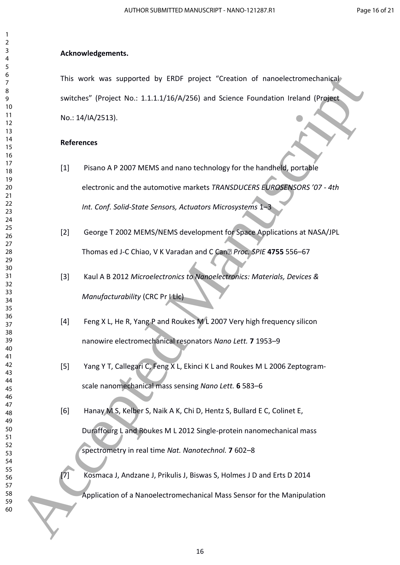# **Acknowledgements.**

This work was supported by ERDF project "Creation of nanoelectromechanical switches" (Project No.: 1.1.1.1/16/A/256) and Science Foundation Ireland (Project No.: 14/IA/2513).

# **References**

- [1] Pisano A P 2007 MEMS and nano technology for the handheld, portable electronic and the automotive markets *TRANSDUCERS EUROSENSORS '07 - 4th Int. Conf. Solid-State Sensors, Actuators Microsystems* 1–3 Accepted Manuscript
	- [2] George T 2002 MEMS/NEMS development for Space Applications at NASA/JPL Thomas ed J-C Chiao, V K Varadan and C Can‰ *Proc. SPIE* **4755** 556–67
	- [3] Kaul A B 2012 *Microelectronics to Nanoelectronics: Materials, Devices & Manufacturability* (CRC Pr I Llc)
	- [4] Feng X L, He R, Yang P and Roukes M L 2007 Very high frequency silicon nanowire electromechanical resonators *Nano Lett.* **7** 1953–9
	- [5] Yang Y T, Callegari C, Feng X L, Ekinci K L and Roukes M L 2006 Zeptogramscale nanomechanical mass sensing *Nano Lett.* **6** 583–6
	- [6] Hanay M S, Kelber S, Naik A K, Chi D, Hentz S, Bullard E C, Colinet E, Duraffourg L and Roukes M L 2012 Single-protein nanomechanical mass spectrometry in real time *Nat. Nanotechnol.* **7** 602–8
	- [7] Kosmaca J, Andzane J, Prikulis J, Biswas S, Holmes J D and Erts D 2014 Application of a Nanoelectromechanical Mass Sensor for the Manipulation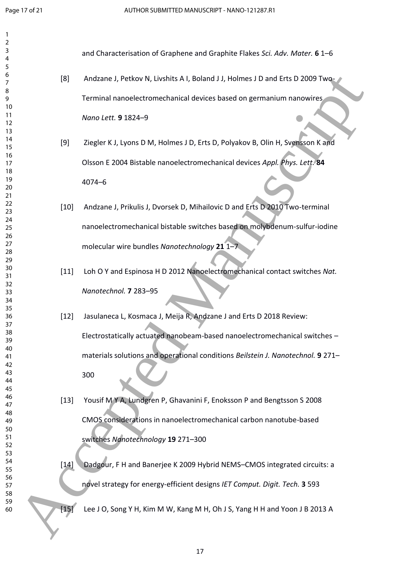| $\mathbf{1}$   |        |                                                                                 |
|----------------|--------|---------------------------------------------------------------------------------|
| $\overline{2}$ |        |                                                                                 |
| 3<br>4         |        | and Characterisation of Graphene and Graphite Flakes Sci. Adv. Mater. 6 1-6     |
| 5              |        |                                                                                 |
| 6              | [8]    | Andzane J, Petkov N, Livshits A I, Boland J J, Holmes J D and Erts D 2009 Two-  |
| 7              |        |                                                                                 |
| 8              |        |                                                                                 |
| 9              |        | Terminal nanoelectromechanical devices based on germanium nanowires             |
| 10<br>11       |        |                                                                                 |
| 12             |        | Nano Lett. 9 1824-9                                                             |
| 13             |        |                                                                                 |
| 14             | [9]    | Ziegler K J, Lyons D M, Holmes J D, Erts D, Polyakov B, Olin H, Svensson K and  |
| 15             |        |                                                                                 |
| 16             |        | Olsson E 2004 Bistable nanoelectromechanical devices Appl. Phys. Lett. 84       |
| 17<br>18       |        |                                                                                 |
| 19             |        | $4074 - 6$                                                                      |
| 20             |        |                                                                                 |
| 21             |        |                                                                                 |
| 22             | $[10]$ | Andzane J, Prikulis J, Dvorsek D, Mihailovic D and Erts D 2010 Two-terminal     |
| 23             |        |                                                                                 |
| 24<br>25       |        | nanoelectromechanical bistable switches based on molybdenum-sulfur-iodine       |
| 26             |        |                                                                                 |
| 27             |        | molecular wire bundles Nanotechnology 21 1-7                                    |
| 28             |        |                                                                                 |
| 29             |        |                                                                                 |
| 30             | $[11]$ | Loh O Y and Espinosa H D 2012 Nanoelectromechanical contact switches Nat.       |
| 31<br>32       |        |                                                                                 |
| 33             |        | Nanotechnol. 7 283-95                                                           |
| 34             |        |                                                                                 |
| 35             |        |                                                                                 |
| 36             | $[12]$ | Jasulaneca L, Kosmaca J, Meija R, Andzane J and Erts D 2018 Review:             |
| 37             |        |                                                                                 |
| 38<br>39       |        | Electrostatically actuated nanobeam-based nanoelectromechanical switches -      |
| 40             |        |                                                                                 |
| 41             |        | materials solutions and operational conditions Beilstein J. Nanotechnol. 9 271- |
| 42             |        |                                                                                 |
| 43             |        | 300                                                                             |
| 44<br>45       |        |                                                                                 |
| 46             |        |                                                                                 |
| 47             | $[13]$ | Yousif M Y A, Lundgren P, Ghavanini F, Enoksson P and Bengtsson S 2008          |
| 48             |        |                                                                                 |
| 49             |        | CMOS considerations in nanoelectromechanical carbon nanotube-based              |
| 50<br>51       |        |                                                                                 |
| 52             |        | switches Nanotechnology 19 271-300                                              |
| 53             |        |                                                                                 |
| 54             | $[14]$ | Dadgour, F H and Banerjee K 2009 Hybrid NEMS-CMOS integrated circuits: a        |
| 55             |        |                                                                                 |
| 56<br>57       |        | novel strategy for energy-efficient designs IET Comput. Digit. Tech. 3 593      |
| 58             |        |                                                                                 |
| 59             |        |                                                                                 |
| 60             | $[15]$ | Lee J O, Song Y H, Kim M W, Kang M H, Oh J S, Yang H H and Yoon J B 2013 A      |
|                |        |                                                                                 |
|                |        |                                                                                 |
|                |        |                                                                                 |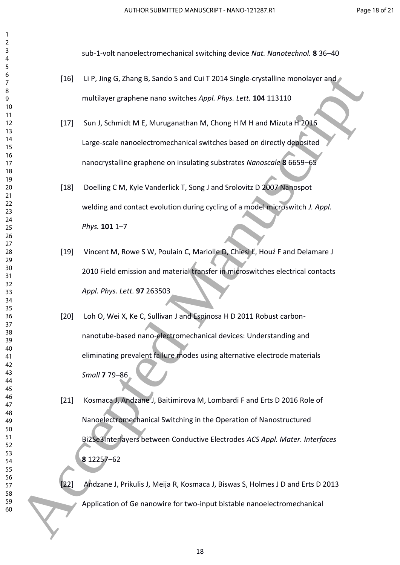sub-1-volt nanoelectromechanical switching device *Nat. Nanotechnol.* **8** 36–40

- [16] Li P, Jing G, Zhang B, Sando S and Cui T 2014 Single-crystalline monolayer and multilayer graphene nano switches *Appl. Phys. Lett.* **104** 113110
- [17] Sun J, Schmidt M E, Muruganathan M, Chong H M H and Mizuta H 2016 Large-scale nanoelectromechanical switches based on directly deposited nanocrystalline graphene on insulating substrates *Nanoscale* **8** 6659–65
- [18] Doelling C M, Kyle Vanderlick T, Song J and Srolovitz D 2007 Nanospot welding and contact evolution during cycling of a model microswitch *J. Appl. Phys.* **101** 1–7
- [19] Vincent M, Rowe S W, Poulain C, Mariolle D, Chiesi L, Houź F and Delamare J 2010 Field emission and material transfer in microswitches electrical contacts *Appl. Phys. Lett.* **97** 263503
- [20] Loh O, Wei X, Ke C, Sullivan J and Espinosa H D 2011 Robust carbonnanotube-based nano-electromechanical devices: Understanding and eliminating prevalent failure modes using alternative electrode materials *Small* **7** 79–86
- [21] Kosmaca J, Andzane J, Baitimirova M, Lombardi F and Erts D 2016 Role of Nanoelectromechanical Switching in the Operation of Nanostructured Bi2Se3Interlayers between Conductive Electrodes *ACS Appl. Mater. Interfaces* 12257–62 (16) Lip: Jing G, Zhang B, Sando 5 and Cui T 2014 Single-crystalline monoisyer and<br>
multilayer graphene nano switches Aqui, Phys. Icel. 104 113110<br>
1121 Sun J, Schmidt M E, Murugannthan M, Chong H M H and Mizuta P 2016<br>
11
	- [22] Andzane J, Prikulis J, Meija R, Kosmaca J, Biswas S, Holmes J D and Erts D 2013 Application of Ge nanowire for two-input bistable nanoelectromechanical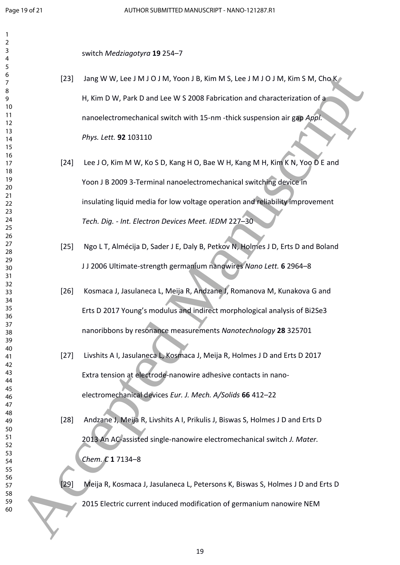switch *Medziagotyra* **19** 254–7

- [23] Jang W W, Lee J M J O J M, Yoon J B, Kim M S, Lee J M J O J M, Kim S M, Cho K H, Kim D W, Park D and Lee W S 2008 Fabrication and characterization of a nanoelectromechanical switch with 15-nm -thick suspension air gap *Appl. Phys. Lett.* **92** 103110 (22) Jang W.W. Les J.M. 10 J.M. Noon 18, Kim M.S. Les J.M. John, Kim S.M. Chok<br>
14, Kim D.W, Park D and Lee W 5 2008 Fabrication and characterization of a<br>
16 Min D.W, Park D and Lee W 5 2008 Fabrication and characterizat
	- [24] Lee J O, Kim M W, Ko S D, Kang H O, Bae W H, Kang M H, Kim K N, Yoo D E and Yoon J B 2009 3-Terminal nanoelectromechanical switching device in insulating liquid media for low voltage operation and reliability improvement *Tech. Dig. - Int. Electron Devices Meet. IEDM* 227–30
	- [25] Ngo L T, Almécija D, Sader J E, Daly B, Petkov N, Holmes J D, Erts D and Boland J J 2006 Ultimate-strength germanium nanowires *Nano Lett.* **6** 2964–8
	- [26] Kosmaca J, Jasulaneca L, Meija R, Andzane J, Romanova M, Kunakova G and Erts D 2017 Young's modulus and indirect morphological analysis of Bi2Se3 nanoribbons by resonance measurements *Nanotechnology* **28** 325701
	- [27] Livshits A I, Jasulaneca L, Kosmaca J, Meija R, Holmes J D and Erts D 2017 Extra tension at electrode-nanowire adhesive contacts in nanoelectromechanical devices *Eur. J. Mech. A/Solids* **66** 412–22
	- [28] Andzane J, Meija R, Livshits A I, Prikulis J, Biswas S, Holmes J D and Erts D 2013 An AC-assisted single-nanowire electromechanical switch *J. Mater. Chem. C* **1** 7134–8

[29] Meija R, Kosmaca J, Jasulaneca L, Petersons K, Biswas S, Holmes J D and Erts D 2015 Electric current induced modification of germanium nanowire NEM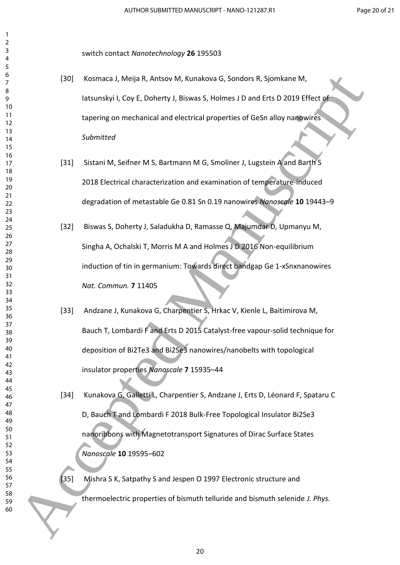switch contact *Nanotechnology* **26** 195503

- [30] Kosmaca J, Meija R, Antsov M, Kunakova G, Sondors R, Sjomkane M, Iatsunskyi I, Coy E, Doherty J, Biswas S, Holmes J D and Erts D 2019 Effect of tapering on mechanical and electrical properties of GeSn alloy nanowires *Submitted*
- [31] Sistani M, Seifner M S, Bartmann M G, Smoliner J, Lugstein A and Barth S 2018 Electrical characterization and examination of temperature-induced degradation of metastable Ge 0.81 Sn 0.19 nanowires *Nanoscale* **10** 19443–9
- [32] Biswas S, Doherty J, Saladukha D, Ramasse Q, Majumdar D, Upmanyu M, Singha A, Ochalski T, Morris M A and Holmes J D 2016 Non-equilibrium induction of tin in germanium: Towards direct bandgap Ge 1-xSnxnanowires *Nat. Commun.* **7** 11405
- [33] Andzane J, Kunakova G, Charpentier S, Hrkac V, Kienle L, Baitimirova M, Bauch T, Lombardi F and Erts D 2015 Catalyst-free vapour-solid technique for deposition of Bi2Te3 and Bi2Se3 nanowires/nanobelts with topological insulator properties *Nanoscale* **7** 15935–44 Accepted Manuscript
	- [34] Kunakova G, Galletti L, Charpentier S, Andzane J, Erts D, Léonard F, Spataru C D, Bauch T and Lombardi F 2018 Bulk-Free Topological Insulator Bi2Se3 nanoribbons with Magnetotransport Signatures of Dirac Surface States *Nanoscale* **10** 19595–602
	- [35] Mishra S K, Satpathy S and Jespen O 1997 Electronic structure and thermoelectric properties of bismuth telluride and bismuth selenide *J. Phys.*